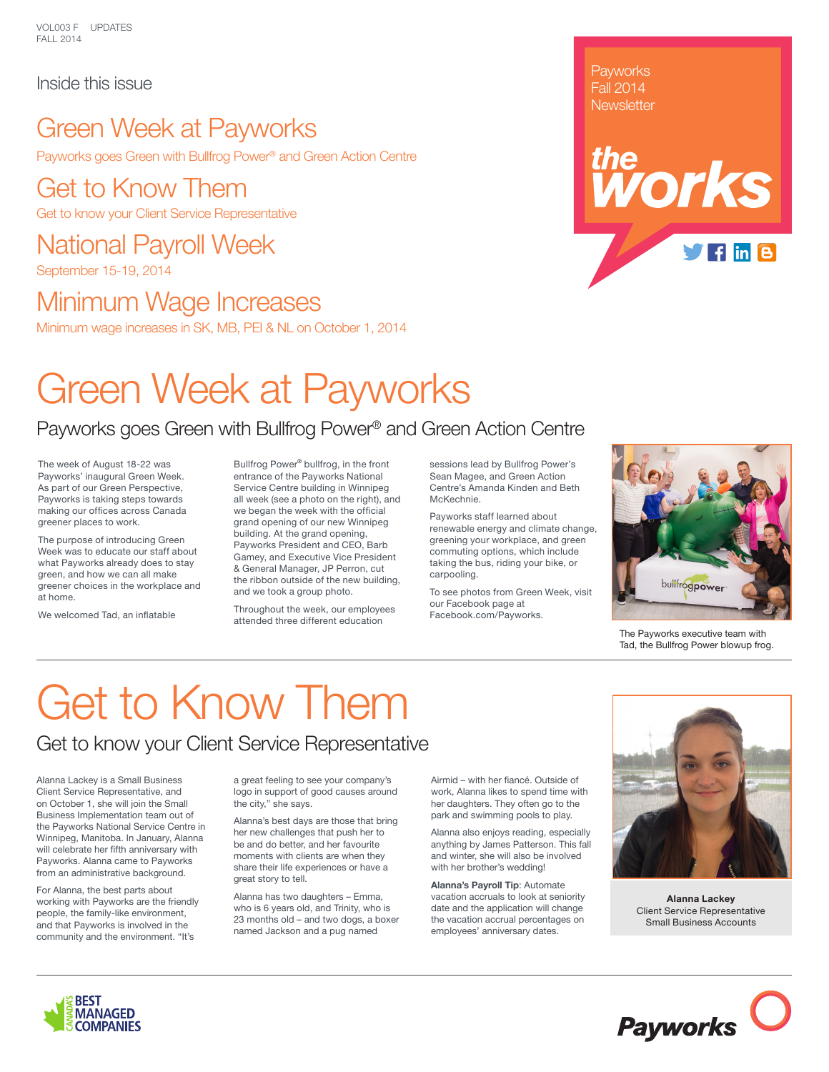VOL003 F UPDATES FALL 2014

#### Inside this issue

### Green Week at Payworks

Payworks goes Green with Bullfrog Power® and Green Action Centre

Get to Know Them Get to know your Client Service Representative

#### National Payroll Week September 15-19, 2014

Minimum Wage Increases

Minimum wage increases in SK, MB, PEI & NL on October 1, 2014

# Green Week at Payworks

### Payworks goes Green with Bullfrog Power® and Green Action Centre

The week of August 18-22 was Payworks' inaugural Green Week. As part of our Green Perspective, Payworks is taking steps towards making our offices across Canada greener places to work.

The purpose of introducing Green Week was to educate our staff about what Payworks already does to stay green, and how we can all make greener choices in the workplace and at home.

We welcomed Tad, an inflatable

Bullfrog Power® bullfrog, in the front entrance of the Payworks National Service Centre building in Winnipeg all week (see a photo on the right), and we began the week with the official grand opening of our new Winnipeg building. At the grand opening, Payworks President and CEO, Barb Gamey, and Executive Vice President & General Manager, JP Perron, cut the ribbon outside of the new building, and we took a group photo.

Throughout the week, our employees attended three different education

sessions lead by Bullfrog Power's Sean Magee, and Green Action Centre's Amanda Kinden and Beth McKechnie.

Payworks staff learned about renewable energy and climate change, greening your workplace, and green commuting options, which include taking the bus, riding your bike, or carpooling.

To see photos from Green Week, visit our Facebook page at [Facebook.com/Payworks](http://www.facebook.com/Payworks).



**Payworks** Fall 2014 **Newsletter** 

*the*

The Payworks executive team with Tad, the Bullfrog Power blowup frog.

# Get to Know Them

#### Get to know your Client Service Representative

Alanna Lackey is a Small Business Client Service Representative, and on October 1, she will join the Small Business Implementation team out of the Payworks National Service Centre in Winnipeg, Manitoba. In January, Alanna will celebrate her fifth anniversary with Payworks. Alanna came to Payworks from an administrative background.

For Alanna, the best parts about working with Payworks are the friendly people, the family-like environment, and that Payworks is involved in the community and the environment. "It's

a great feeling to see your company's logo in support of good causes around the city," she says.

Alanna's best days are those that bring her new challenges that push her to be and do better, and her favourite moments with clients are when they share their life experiences or have a great story to tell.

Alanna has two daughters – Emma, who is 6 years old, and Trinity, who is 23 months old – and two dogs, a boxer named Jackson and a pug named

Airmid – with her fiancé. Outside of work, Alanna likes to spend time with her daughters. They often go to the park and swimming pools to play.

Alanna also enjoys reading, especially anything by James Patterson. This fall and winter, she will also be involved with her brother's wedding!

**Alanna's Payroll Tip**: Automate vacation accruals to look at seniority date and the application will change the vacation accrual percentages on employees' anniversary dates.



**Alanna Lackey** Client Service Representative Small Business Accounts